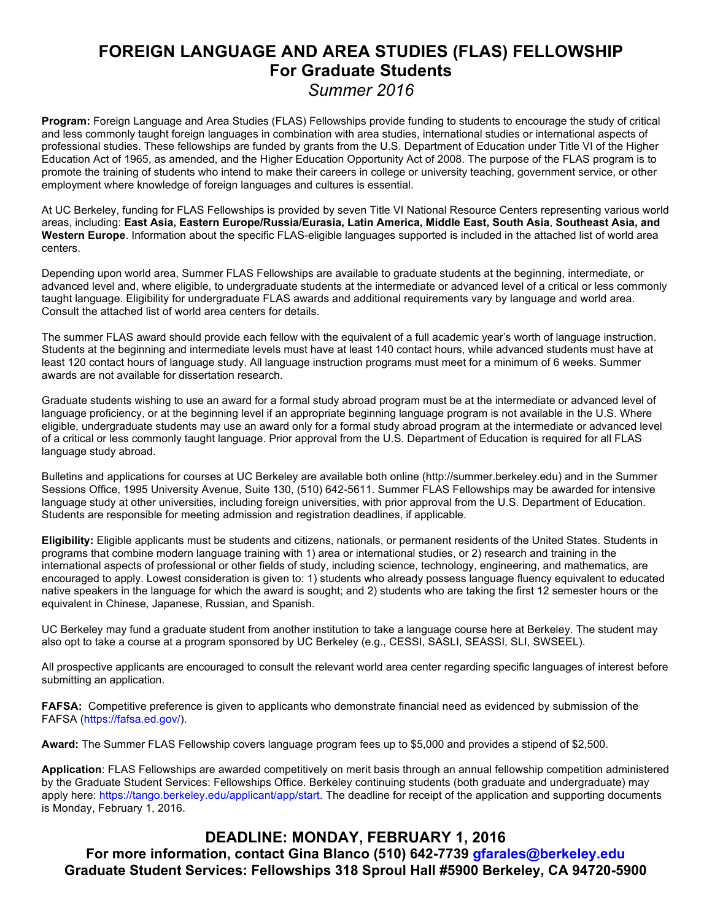# **FOREIGN LANGUAGE AND AREA STUDIES (FLAS) FELLOWSHIP For Graduate Students**

*Summer 2016*

**Program:** Foreign Language and Area Studies (FLAS) Fellowships provide funding to students to encourage the study of critical and less commonly taught foreign languages in combination with area studies, international studies or international aspects of professional studies. These fellowships are funded by grants from the U.S. Department of Education under Title VI of the Higher Education Act of 1965, as amended, and the Higher Education Opportunity Act of 2008. The purpose of the FLAS program is to promote the training of students who intend to make their careers in college or university teaching, government service, or other employment where knowledge of foreign languages and cultures is essential.

At UC Berkeley, funding for FLAS Fellowships is provided by seven Title VI National Resource Centers representing various world areas, including: **East Asia, Eastern Europe/Russia/Eurasia, Latin America, Middle East, South Asia**, **Southeast Asia, and Western Europe**. Information about the specific FLAS-eligible languages supported is included in the attached list of world area centers.

Depending upon world area, Summer FLAS Fellowships are available to graduate students at the beginning, intermediate, or advanced level and, where eligible, to undergraduate students at the intermediate or advanced level of a critical or less commonly taught language. Eligibility for undergraduate FLAS awards and additional requirements vary by language and world area. Consult the attached list of world area centers for details.

The summer FLAS award should provide each fellow with the equivalent of a full academic year's worth of language instruction. Students at the beginning and intermediate levels must have at least 140 contact hours, while advanced students must have at least 120 contact hours of language study. All language instruction programs must meet for a minimum of 6 weeks. Summer awards are not available for dissertation research.

Graduate students wishing to use an award for a formal study abroad program must be at the intermediate or advanced level of language proficiency, or at the beginning level if an appropriate beginning language program is not available in the U.S. Where eligible, undergraduate students may use an award only for a formal study abroad program at the intermediate or advanced level of a critical or less commonly taught language. Prior approval from the U.S. Department of Education is required for all FLAS language study abroad.

Bulletins and applications for courses at UC Berkeley are available both online (http://summer.berkeley.edu) and in the Summer Sessions Office, 1995 University Avenue, Suite 130, (510) 642-5611. Summer FLAS Fellowships may be awarded for intensive language study at other universities, including foreign universities, with prior approval from the U.S. Department of Education. Students are responsible for meeting admission and registration deadlines, if applicable.

**Eligibility:** Eligible applicants must be students and citizens, nationals, or permanent residents of the United States. Students in programs that combine modern language training with 1) area or international studies, or 2) research and training in the international aspects of professional or other fields of study, including science, technology, engineering, and mathematics, are encouraged to apply. Lowest consideration is given to: 1) students who already possess language fluency equivalent to educated native speakers in the language for which the award is sought; and 2) students who are taking the first 12 semester hours or the equivalent in Chinese, Japanese, Russian, and Spanish.

UC Berkeley may fund a graduate student from another institution to take a language course here at Berkeley. The student may also opt to take a course at a program sponsored by UC Berkeley (e.g., CESSI, SASLI, SEASSI, SLI, SWSEEL).

All prospective applicants are encouraged to consult the relevant world area center regarding specific languages of interest before submitting an application.

**FAFSA:** Competitive preference is given to applicants who demonstrate financial need as evidenced by submission of the FAFSA (https://fafsa.ed.gov/).

**Award:** The Summer FLAS Fellowship covers language program fees up to \$5,000 and provides a stipend of \$2,500.

**Application**: FLAS Fellowships are awarded competitively on merit basis through an annual fellowship competition administered by the Graduate Student Services: Fellowships Office. Berkeley continuing students (both graduate and undergraduate) may apply here: https://tango.berkeley.edu/applicant/app/start. The deadline for receipt of the application and supporting documents is Monday, February 1, 2016.

## **DEADLINE: MONDAY, FEBRUARY 1, 2016**

**For more information, contact Gina Blanco (510) 642-7739 gfarales@berkeley.edu Graduate Student Services: Fellowships 318 Sproul Hall #5900 Berkeley, CA 94720-5900**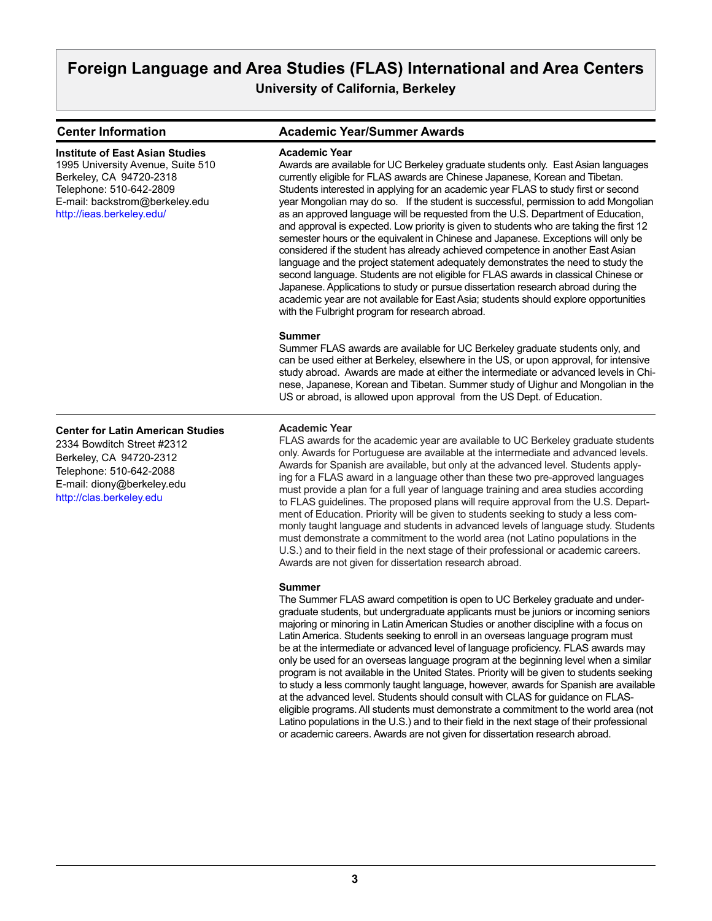**Center for Latin American Studies**

2334 Bowditch Street #2312 Berkeley, CA 94720-2312 Telephone: 510-642-2088 E-mail: diony@berkeley.edu <http://clas.berkeley.edu>

**Center Information Academic Year/Summer Awards**

#### **Academic Year** Awards are available for UC Berkeley graduate students only. East Asian languages currently eligible for FLAS awards are Chinese Japanese, Korean and Tibetan. Students interested in applying for an academic year FLAS to study first or second year Mongolian may do so. If the student is successful, permission to add Mongolian as an approved language will be requested from the U.S. Department of Education, and approval is expected. Low priority is given to students who are taking the first 12 semester hours or the equivalent in Chinese and Japanese. Exceptions will only be considered if the student has already achieved competence in another East Asian language and the project statement adequately demonstrates the need to study the second language. Students are not eligible for FLAS awards in classical Chinese or Japanese. Applications to study or pursue dissertation research abroad during the academic year are not available for East Asia; students should explore opportunities with the Fulbright program for research abroad. **Summer** Summer FLAS awards are available for UC Berkeley graduate students only, and can be used either at Berkeley, elsewhere in the US, or upon approval, for intensive study abroad. Awards are made at either the intermediate or advanced levels in Chinese, Japanese, Korean and Tibetan. Summer study of Uighur and Mongolian in the US or abroad, is allowed upon approval from the US Dept. of Education. **Institute of East Asian Studies** 1995 University Avenue, Suite 510 Berkeley, CA 94720-2318 Telephone: 510-642-2809 E-mail: backstrom@berkeley.edu [http://ieas.berkeley.edu/](http://ieas.berkeley.edu/ )

#### **Academic Year**

FLAS awards for the academic year are available to UC Berkeley graduate students only. Awards for Portuguese are available at the intermediate and advanced levels. Awards for Spanish are available, but only at the advanced level. Students applying for a FLAS award in a language other than these two pre-approved languages must provide a plan for a full year of language training and area studies according to FLAS guidelines. The proposed plans will require approval from the U.S. Department of Education. Priority will be given to students seeking to study a less commonly taught language and students in advanced levels of language study. Students must demonstrate a commitment to the world area (not Latino populations in the U.S.) and to their field in the next stage of their professional or academic careers. Awards are not given for dissertation research abroad.

#### **Summer**

The Summer FLAS award competition is open to UC Berkeley graduate and undergraduate students, but undergraduate applicants must be juniors or incoming seniors majoring or minoring in Latin American Studies or another discipline with a focus on Latin America. Students seeking to enroll in an overseas language program must be at the intermediate or advanced level of language proficiency. FLAS awards may only be used for an overseas language program at the beginning level when a similar program is not available in the United States. Priority will be given to students seeking to study a less commonly taught language, however, awards for Spanish are available at the advanced level. Students should consult with CLAS for guidance on FLASeligible programs. All students must demonstrate a commitment to the world area (not Latino populations in the U.S.) and to their field in the next stage of their professional or academic careers. Awards are not given for dissertation research abroad.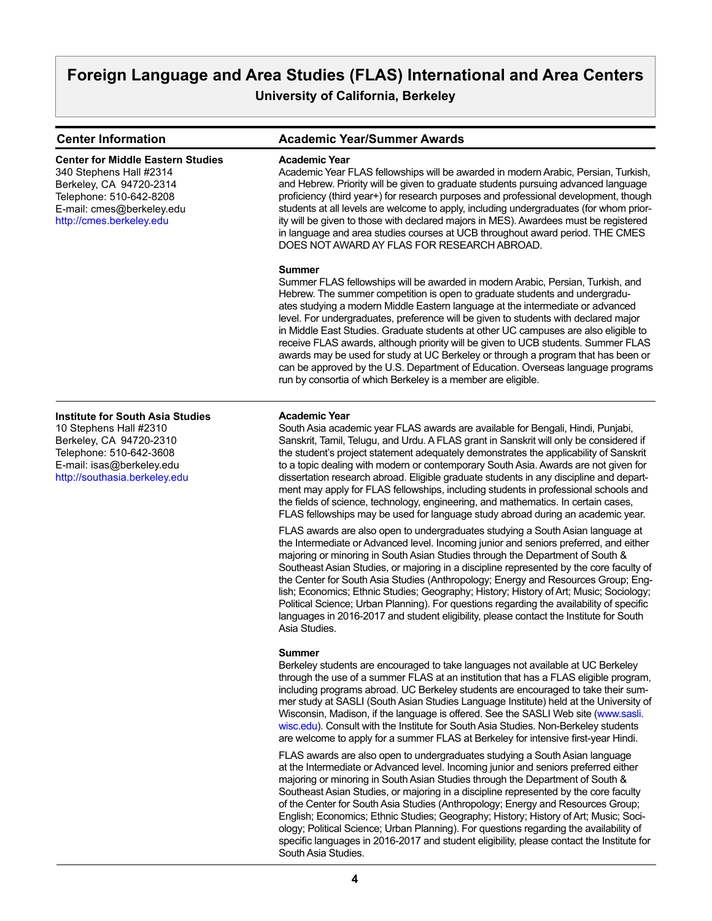# **Foreign Language and Area Studies (FLAS) International and Area Centers**

**University of California, Berkeley**

| <b>Center Information</b>                                                                                                                                                             | <b>Academic Year/Summer Awards</b>                                                                                                                                                                                                                                                                                                                                                                                                                                                                                                                                                                                                                                                                                                                                           |
|---------------------------------------------------------------------------------------------------------------------------------------------------------------------------------------|------------------------------------------------------------------------------------------------------------------------------------------------------------------------------------------------------------------------------------------------------------------------------------------------------------------------------------------------------------------------------------------------------------------------------------------------------------------------------------------------------------------------------------------------------------------------------------------------------------------------------------------------------------------------------------------------------------------------------------------------------------------------------|
| <b>Center for Middle Eastern Studies</b><br>340 Stephens Hall #2314<br>Berkeley, CA 94720-2314<br>Telephone: 510-642-8208<br>E-mail: cmes@berkeley.edu<br>http://cmes.berkeley.edu    | <b>Academic Year</b><br>Academic Year FLAS fellowships will be awarded in modern Arabic, Persian, Turkish,<br>and Hebrew. Priority will be given to graduate students pursuing advanced language<br>proficiency (third year+) for research purposes and professional development, though<br>students at all levels are welcome to apply, including undergraduates (for whom prior-<br>ity will be given to those with declared majors in MES). Awardees must be registered<br>in language and area studies courses at UCB throughout award period. THE CMES<br>DOES NOT AWARD AY FLAS FOR RESEARCH ABROAD.                                                                                                                                                                   |
|                                                                                                                                                                                       | <b>Summer</b><br>Summer FLAS fellowships will be awarded in modern Arabic, Persian, Turkish, and<br>Hebrew. The summer competition is open to graduate students and undergradu-<br>ates studying a modern Middle Eastern language at the intermediate or advanced<br>level. For undergraduates, preference will be given to students with declared major<br>in Middle East Studies. Graduate students at other UC campuses are also eligible to<br>receive FLAS awards, although priority will be given to UCB students. Summer FLAS<br>awards may be used for study at UC Berkeley or through a program that has been or<br>can be approved by the U.S. Department of Education. Overseas language programs<br>run by consortia of which Berkeley is a member are eligible. |
| <b>Institute for South Asia Studies</b><br>10 Stephens Hall #2310<br>Berkeley, CA 94720-2310<br>Telephone: 510-642-3608<br>E-mail: isas@berkeley.edu<br>http://southasia.berkeley.edu | <b>Academic Year</b><br>South Asia academic year FLAS awards are available for Bengali, Hindi, Punjabi,<br>Sanskrit, Tamil, Telugu, and Urdu. A FLAS grant in Sanskrit will only be considered if<br>the student's project statement adequately demonstrates the applicability of Sanskrit<br>to a topic dealing with modern or contemporary South Asia. Awards are not given for<br>dissertation research abroad. Eligible graduate students in any discipline and depart-<br>ment may apply for FLAS fellowships, including students in professional schools and<br>the fields of science, technology, engineering, and mathematics. In certain cases,<br>FLAS fellowships may be used for language study abroad during an academic year.                                  |
|                                                                                                                                                                                       | FLAS awards are also open to undergraduates studying a South Asian language at<br>the Intermediate or Advanced level. Incoming junior and seniors preferred, and either<br>majoring or minoring in South Asian Studies through the Department of South &<br>Southeast Asian Studies, or majoring in a discipline represented by the core faculty of<br>the Center for South Asia Studies (Anthropology; Energy and Resources Group; Eng-<br>lish; Economics; Ethnic Studies; Geography; History; History of Art; Music; Sociology;<br>Political Science; Urban Planning). For questions regarding the availability of specific<br>languages in 2016-2017 and student eligibility, please contact the Institute for South<br>Asia Studies.                                    |
|                                                                                                                                                                                       | Summer<br>Berkeley students are encouraged to take languages not available at UC Berkeley<br>through the use of a summer FLAS at an institution that has a FLAS eligible program,<br>including programs abroad. UC Berkeley students are encouraged to take their sum-<br>mer study at SASLI (South Asian Studies Language Institute) held at the University of<br>Wisconsin, Madison, if the language is offered. See the SASLI Web site (www.sasli.<br>wisc.edu). Consult with the Institute for South Asia Studies. Non-Berkeley students<br>are welcome to apply for a summer FLAS at Berkeley for intensive first-year Hindi.                                                                                                                                           |
|                                                                                                                                                                                       | FLAS awards are also open to undergraduates studying a South Asian language<br>at the Intermediate or Advanced level. Incoming junior and seniors preferred either<br>majoring or minoring in South Asian Studies through the Department of South &<br>Southeast Asian Studies, or majoring in a discipline represented by the core faculty<br>of the Center for South Asia Studies (Anthropology; Energy and Resources Group;<br>English; Economics; Ethnic Studies; Geography; History; History of Art; Music; Soci-                                                                                                                                                                                                                                                       |

South Asia Studies.

ology; Political Science; Urban Planning). For questions regarding the availability of specific languages in 2016-2017 and student eligibility, please contact the Institute for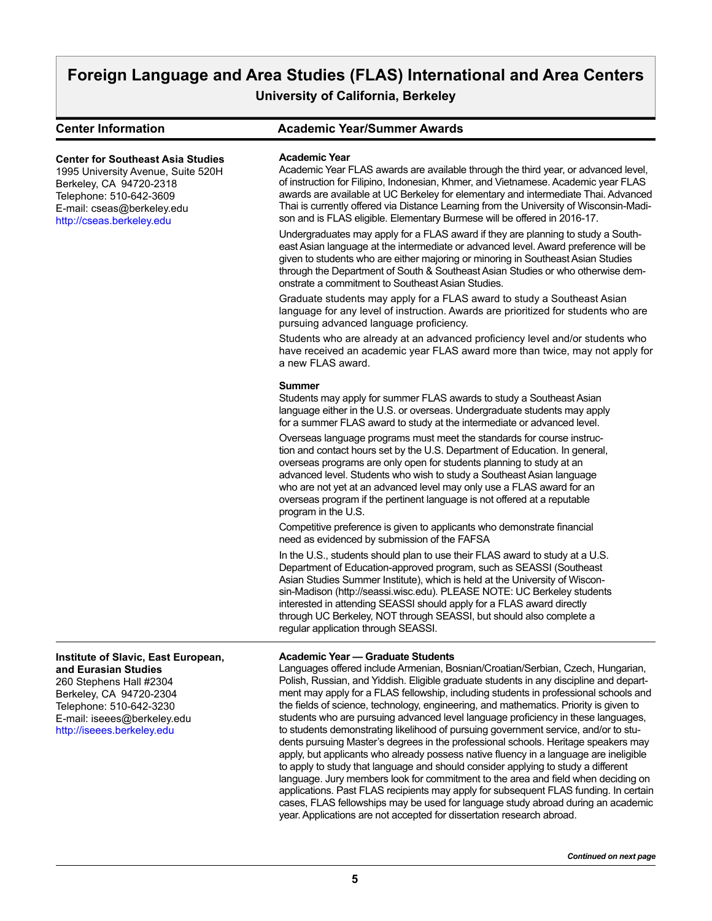# **Foreign Language and Area Studies (FLAS) International and Area Centers**

**University of California, Berkeley**

**Center Information Academic Year/Summer Awards**

## **Center for Southeast Asia Studies**

1995 University Avenue, Suite 520H Berkeley, CA 94720-2318 Telephone: 510-642-3609 E-mail: cseas@berkeley.edu [http://cseas.berkeley.edu](http://cseas.berkeley.edu )

#### **Academic Year**

Academic Year FLAS awards are available through the third year, or advanced level, of instruction for Filipino, Indonesian, Khmer, and Vietnamese. Academic year FLAS awards are available at UC Berkeley for elementary and intermediate Thai. Advanced Thai is currently offered via Distance Learning from the University of Wisconsin-Madison and is FLAS eligible. Elementary Burmese will be offered in 2016-17.

Undergraduates may apply for a FLAS award if they are planning to study a Southeast Asian language at the intermediate or advanced level. Award preference will be given to students who are either majoring or minoring in Southeast Asian Studies through the Department of South & Southeast Asian Studies or who otherwise demonstrate a commitment to Southeast Asian Studies.

Graduate students may apply for a FLAS award to study a Southeast Asian language for any level of instruction. Awards are prioritized for students who are pursuing advanced language proficiency.

Students who are already at an advanced proficiency level and/or students who have received an academic year FLAS award more than twice, may not apply for a new FLAS award.

#### **Summer**

Students may apply for summer FLAS awards to study a Southeast Asian language either in the U.S. or overseas. Undergraduate students may apply for a summer FLAS award to study at the intermediate or advanced level.

Overseas language programs must meet the standards for course instruction and contact hours set by the U.S. Department of Education. In general, overseas programs are only open for students planning to study at an advanced level. Students who wish to study a Southeast Asian language who are not yet at an advanced level may only use a FLAS award for an overseas program if the pertinent language is not offered at a reputable program in the U.S.

Competitive preference is given to applicants who demonstrate financial need as evidenced by submission of the FAFSA

In the U.S., students should plan to use their FLAS award to study at a U.S. Department of Education-approved program, such as SEASSI (Southeast Asian Studies Summer Institute), which is held at the University of Wisconsin-Madison (http://seassi.wisc.edu). PLEASE NOTE: UC Berkeley students interested in attending SEASSI should apply for a FLAS award directly through UC Berkeley, NOT through SEASSI, but should also complete a regular application through SEASSI.

### **Academic Year — Graduate Students**

Languages offered include Armenian, Bosnian/Croatian/Serbian, Czech, Hungarian, Polish, Russian, and Yiddish. Eligible graduate students in any discipline and department may apply for a FLAS fellowship, including students in professional schools and the fields of science, technology, engineering, and mathematics. Priority is given to students who are pursuing advanced level language proficiency in these languages, to students demonstrating likelihood of pursuing government service, and/or to students pursuing Master's degrees in the professional schools. Heritage speakers may apply, but applicants who already possess native fluency in a language are ineligible to apply to study that language and should consider applying to study a different language. Jury members look for commitment to the area and field when deciding on applications. Past FLAS recipients may apply for subsequent FLAS funding. In certain cases, FLAS fellowships may be used for language study abroad during an academic year. Applications are not accepted for dissertation research abroad.

**Institute of Slavic, East European, and Eurasian Studies**

260 Stephens Hall #2304 Berkeley, CA 94720-2304 Telephone: 510-642-3230 E-mail: iseees@berkeley.edu [http://iseees.berkeley.edu](http://iseees.berkeley.edu )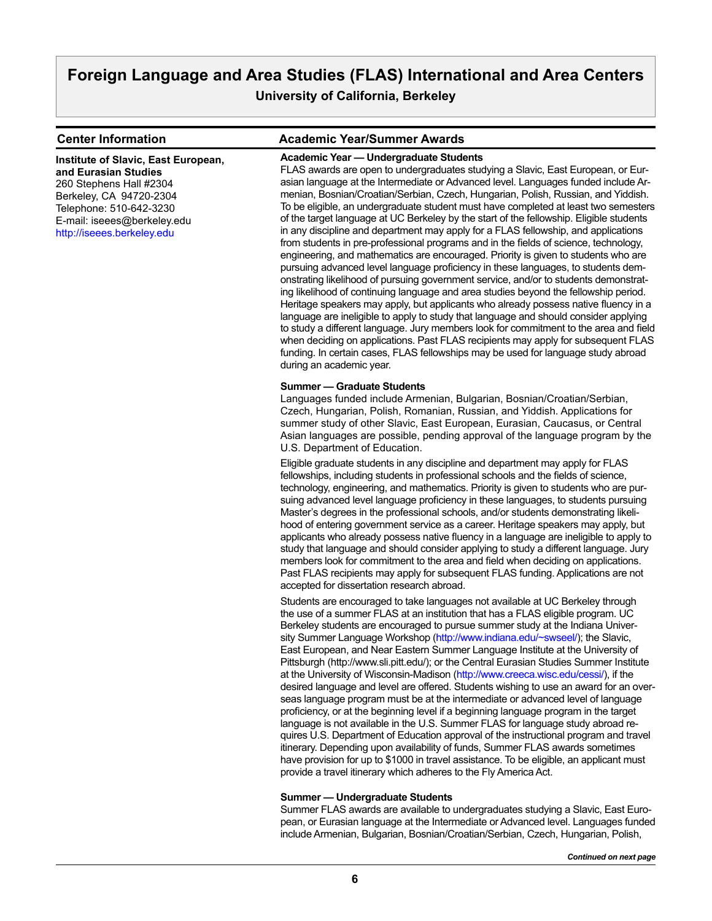**Institute of Slavic, East European, and Eurasian Studies** 260 Stephens Hall #2304 Berkeley, CA 94720-2304 Telephone: 510-642-3230 E-mail: iseees@berkeley.edu [http://iseees.berkeley.edu](http://iseees.berkeley.edu )

### **Center Information Academic Year/Summer Awards**

#### **Academic Year — Undergraduate Students**

FLAS awards are open to undergraduates studying a Slavic, East European, or Eurasian language at the Intermediate or Advanced level. Languages funded include Armenian, Bosnian/Croatian/Serbian, Czech, Hungarian, Polish, Russian, and Yiddish. To be eligible, an undergraduate student must have completed at least two semesters of the target language at UC Berkeley by the start of the fellowship. Eligible students in any discipline and department may apply for a FLAS fellowship, and applications from students in pre-professional programs and in the fields of science, technology, engineering, and mathematics are encouraged. Priority is given to students who are pursuing advanced level language proficiency in these languages, to students demonstrating likelihood of pursuing government service, and/or to students demonstrating likelihood of continuing language and area studies beyond the fellowship period. Heritage speakers may apply, but applicants who already possess native fluency in a language are ineligible to apply to study that language and should consider applying to study a different language. Jury members look for commitment to the area and field when deciding on applications. Past FLAS recipients may apply for subsequent FLAS funding. In certain cases, FLAS fellowships may be used for language study abroad during an academic year.

#### **Summer — Graduate Students**

Languages funded include Armenian, Bulgarian, Bosnian/Croatian/Serbian, Czech, Hungarian, Polish, Romanian, Russian, and Yiddish. Applications for summer study of other Slavic, East European, Eurasian, Caucasus, or Central Asian languages are possible, pending approval of the language program by the U.S. Department of Education.

Eligible graduate students in any discipline and department may apply for FLAS fellowships, including students in professional schools and the fields of science, technology, engineering, and mathematics. Priority is given to students who are pursuing advanced level language proficiency in these languages, to students pursuing Master's degrees in the professional schools, and/or students demonstrating likelihood of entering government service as a career. Heritage speakers may apply, but applicants who already possess native fluency in a language are ineligible to apply to study that language and should consider applying to study a different language. Jury members look for commitment to the area and field when deciding on applications. Past FLAS recipients may apply for subsequent FLAS funding. Applications are not accepted for dissertation research abroad.

Students are encouraged to take languages not available at UC Berkeley through the use of a summer FLAS at an institution that has a FLAS eligible program. UC Berkeley students are encouraged to pursue summer study at the Indiana Univer-sity Summer Language Workshop [\(http://www.indiana.edu/~swseel/](http://www.indiana.edu/~swseel/)); the Slavic, East European, and Near Eastern Summer Language Institute at the University of Pittsburgh (http://www.sli.pitt.edu/); or the Central Eurasian Studies Summer Institute at the University of Wisconsin-Madison (<http://www.creeca.wisc.edu/cessi/>), if the desired language and level are offered. Students wishing to use an award for an overseas language program must be at the intermediate or advanced level of language proficiency, or at the beginning level if a beginning language program in the target language is not available in the U.S. Summer FLAS for language study abroad requires U.S. Department of Education approval of the instructional program and travel itinerary. Depending upon availability of funds, Summer FLAS awards sometimes have provision for up to \$1000 in travel assistance. To be eligible, an applicant must provide a travel itinerary which adheres to the Fly America Act.

#### **Summer — Undergraduate Students**

Summer FLAS awards are available to undergraduates studying a Slavic, East European, or Eurasian language at the Intermediate or Advanced level. Languages funded include Armenian, Bulgarian, Bosnian/Croatian/Serbian, Czech, Hungarian, Polish,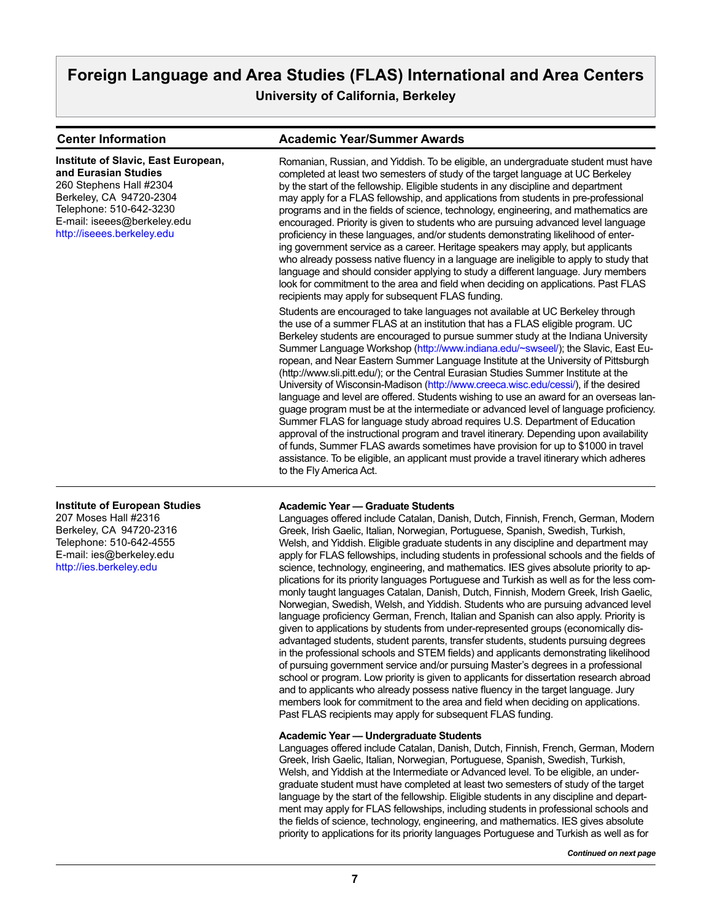#### **Center Information Academic Year/Summer Awards** Romanian, Russian, and Yiddish. To be eligible, an undergraduate student must have completed at least two semesters of study of the target language at UC Berkeley by the start of the fellowship. Eligible students in any discipline and department may apply for a FLAS fellowship, and applications from students in pre-professional programs and in the fields of science, technology, engineering, and mathematics are encouraged. Priority is given to students who are pursuing advanced level language proficiency in these languages, and/or students demonstrating likelihood of entering government service as a career. Heritage speakers may apply, but applicants who already possess native fluency in a language are ineligible to apply to study that language and should consider applying to study a different language. Jury members look for commitment to the area and field when deciding on applications. Past FLAS recipients may apply for subsequent FLAS funding. Students are encouraged to take languages not available at UC Berkeley through the use of a summer FLAS at an institution that has a FLAS eligible program. UC Berkeley students are encouraged to pursue summer study at the Indiana University Summer Language Workshop (http://www.indiana.edu/~swseel/); the Slavic, East European, and Near Eastern Summer Language Institute at the University of Pittsburgh (http://www.sli.pitt.edu/); or the Central Eurasian Studies Summer Institute at the University of Wisconsin-Madison (http://www.creeca.wisc.edu/cessi/), if the desired language and level are offered. Students wishing to use an award for an overseas language program must be at the intermediate or advanced level of language proficiency. Summer FLAS for language study abroad requires U.S. Department of Education approval of the instructional program and travel itinerary. Depending upon availability of funds, Summer FLAS awards sometimes have provision for up to \$1000 in travel assistance. To be eligible, an applicant must provide a travel itinerary which adheres to the Fly America Act. **Academic Year — Graduate Students** Languages offered include Catalan, Danish, Dutch, Finnish, French, German, Modern Greek, Irish Gaelic, Italian, Norwegian, Portuguese, Spanish, Swedish, Turkish, Welsh, and Yiddish. Eligible graduate students in any discipline and department may **Institute of Slavic, East European, and Eurasian Studies** 260 Stephens Hall #2304 Berkeley, CA 94720-2304 Telephone: 510-642-3230 E-mail: iseees@berkeley.edu http://iseees.berkeley.edu **Institute of European Studies** 207 Moses Hall #2316 Berkeley, CA 94720-2316 Telephone: 510-642-4555 E-mail: ies@berkeley.edu

[http://ies.berkeley.edu](http://ies.berkeley.edu )

apply for FLAS fellowships, including students in professional schools and the fields of science, technology, engineering, and mathematics. IES gives absolute priority to applications for its priority languages Portuguese and Turkish as well as for the less commonly taught languages Catalan, Danish, Dutch, Finnish, Modern Greek, Irish Gaelic, Norwegian, Swedish, Welsh, and Yiddish. Students who are pursuing advanced level language proficiency German, French, Italian and Spanish can also apply. Priority is given to applications by students from under-represented groups (economically disadvantaged students, student parents, transfer students, students pursuing degrees in the professional schools and STEM fields) and applicants demonstrating likelihood of pursuing government service and/or pursuing Master's degrees in a professional school or program. Low priority is given to applicants for dissertation research abroad and to applicants who already possess native fluency in the target language. Jury members look for commitment to the area and field when deciding on applications. Past FLAS recipients may apply for subsequent FLAS funding.

### **Academic Year — Undergraduate Students**

Languages offered include Catalan, Danish, Dutch, Finnish, French, German, Modern Greek, Irish Gaelic, Italian, Norwegian, Portuguese, Spanish, Swedish, Turkish, Welsh, and Yiddish at the Intermediate or Advanced level. To be eligible, an undergraduate student must have completed at least two semesters of study of the target language by the start of the fellowship. Eligible students in any discipline and department may apply for FLAS fellowships, including students in professional schools and the fields of science, technology, engineering, and mathematics. IES gives absolute priority to applications for its priority languages Portuguese and Turkish as well as for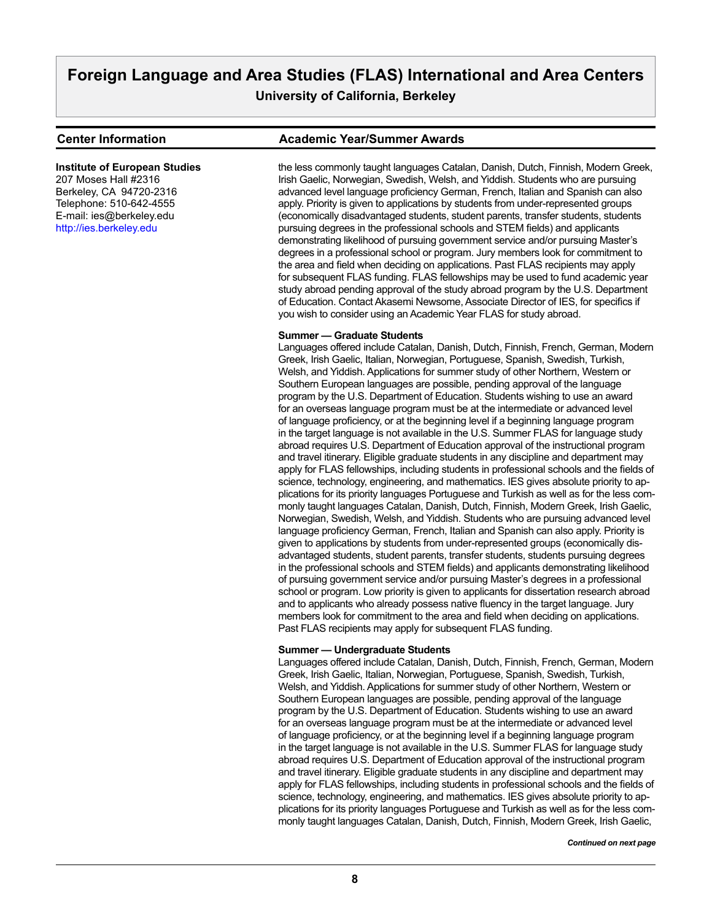#### **Center Information Academic Year/Summer Awards**

207 Moses Hall #2316 Berkeley, CA 94720-2316 Telephone: 510-642-4555 E-mail: ies@berkeley.edu <http://ies.berkeley.edu>

**Institute of European Studies**

the less commonly taught languages Catalan, Danish, Dutch, Finnish, Modern Greek, Irish Gaelic, Norwegian, Swedish, Welsh, and Yiddish. Students who are pursuing advanced level language proficiency German, French, Italian and Spanish can also apply. Priority is given to applications by students from under-represented groups (economically disadvantaged students, student parents, transfer students, students pursuing degrees in the professional schools and STEM fields) and applicants demonstrating likelihood of pursuing government service and/or pursuing Master's degrees in a professional school or program. Jury members look for commitment to the area and field when deciding on applications. Past FLAS recipients may apply for subsequent FLAS funding. FLAS fellowships may be used to fund academic year study abroad pending approval of the study abroad program by the U.S. Department of Education. Contact Akasemi Newsome, Associate Director of IES, for specifics if you wish to consider using an Academic Year FLAS for study abroad.

#### **Summer — Graduate Students**

Languages offered include Catalan, Danish, Dutch, Finnish, French, German, Modern Greek, Irish Gaelic, Italian, Norwegian, Portuguese, Spanish, Swedish, Turkish, Welsh, and Yiddish. Applications for summer study of other Northern, Western or Southern European languages are possible, pending approval of the language program by the U.S. Department of Education. Students wishing to use an award for an overseas language program must be at the intermediate or advanced level of language proficiency, or at the beginning level if a beginning language program in the target language is not available in the U.S. Summer FLAS for language study abroad requires U.S. Department of Education approval of the instructional program and travel itinerary. Eligible graduate students in any discipline and department may apply for FLAS fellowships, including students in professional schools and the fields of science, technology, engineering, and mathematics. IES gives absolute priority to applications for its priority languages Portuguese and Turkish as well as for the less commonly taught languages Catalan, Danish, Dutch, Finnish, Modern Greek, Irish Gaelic, Norwegian, Swedish, Welsh, and Yiddish. Students who are pursuing advanced level language proficiency German, French, Italian and Spanish can also apply. Priority is given to applications by students from under-represented groups (economically disadvantaged students, student parents, transfer students, students pursuing degrees in the professional schools and STEM fields) and applicants demonstrating likelihood of pursuing government service and/or pursuing Master's degrees in a professional school or program. Low priority is given to applicants for dissertation research abroad and to applicants who already possess native fluency in the target language. Jury members look for commitment to the area and field when deciding on applications. Past FLAS recipients may apply for subsequent FLAS funding.

#### **Summer — Undergraduate Students**

Languages offered include Catalan, Danish, Dutch, Finnish, French, German, Modern Greek, Irish Gaelic, Italian, Norwegian, Portuguese, Spanish, Swedish, Turkish, Welsh, and Yiddish. Applications for summer study of other Northern, Western or Southern European languages are possible, pending approval of the language program by the U.S. Department of Education. Students wishing to use an award for an overseas language program must be at the intermediate or advanced level of language proficiency, or at the beginning level if a beginning language program in the target language is not available in the U.S. Summer FLAS for language study abroad requires U.S. Department of Education approval of the instructional program and travel itinerary. Eligible graduate students in any discipline and department may apply for FLAS fellowships, including students in professional schools and the fields of science, technology, engineering, and mathematics. IES gives absolute priority to applications for its priority languages Portuguese and Turkish as well as for the less commonly taught languages Catalan, Danish, Dutch, Finnish, Modern Greek, Irish Gaelic,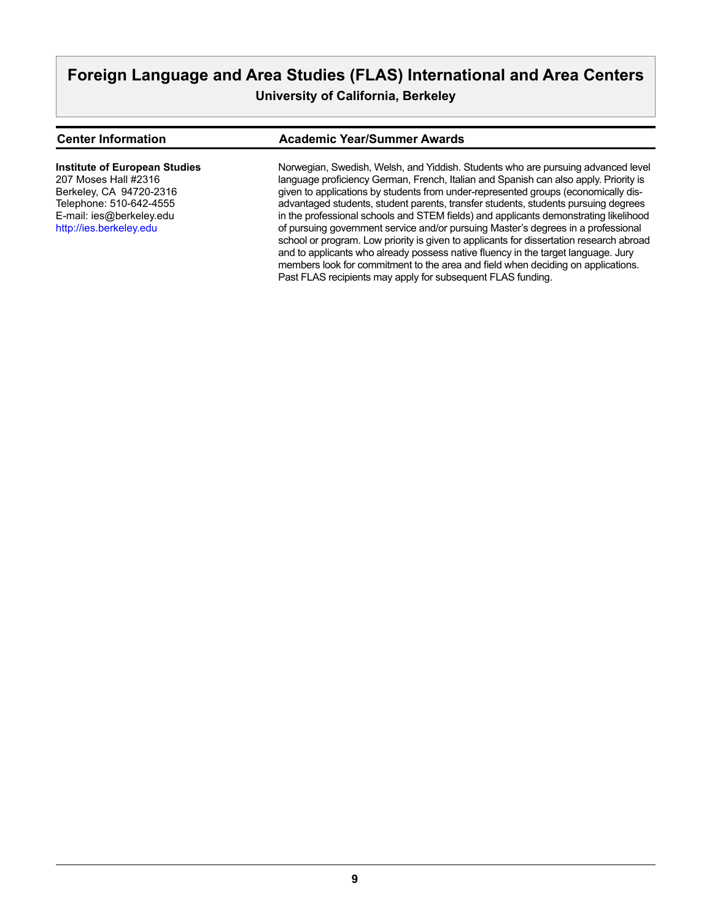### **Center Information Academic Year/Summer Awards**

**Institute of European Studies**

207 Moses Hall #2316 Berkeley, CA 94720-2316 Telephone: 510-642-4555 E-mail: ies@berkeley.edu <http://ies.berkeley.edu>

Norwegian, Swedish, Welsh, and Yiddish. Students who are pursuing advanced level language proficiency German, French, Italian and Spanish can also apply. Priority is given to applications by students from under-represented groups (economically disadvantaged students, student parents, transfer students, students pursuing degrees in the professional schools and STEM fields) and applicants demonstrating likelihood of pursuing government service and/or pursuing Master's degrees in a professional school or program. Low priority is given to applicants for dissertation research abroad and to applicants who already possess native fluency in the target language. Jury members look for commitment to the area and field when deciding on applications. Past FLAS recipients may apply for subsequent FLAS funding.